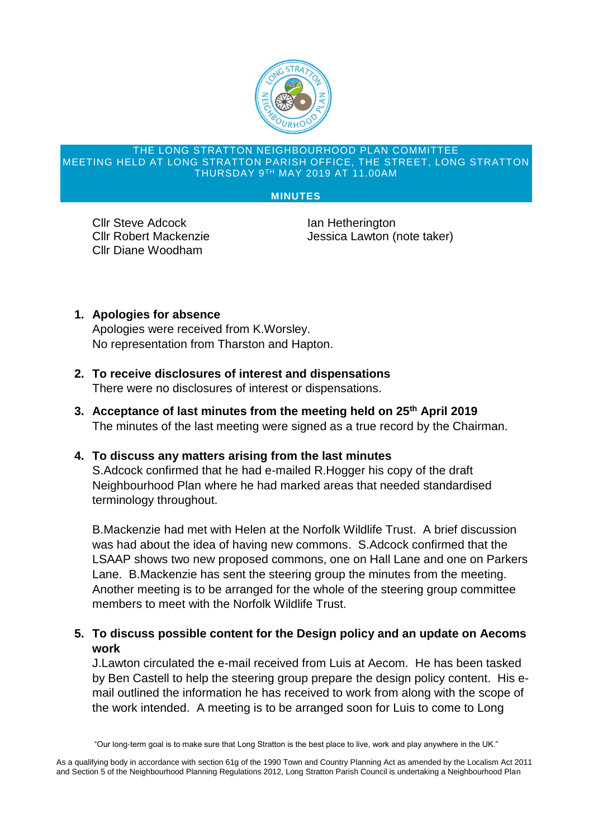

#### THE LONG STRATTON NEIGHBOURHOOD PLAN COMMITTEE MEETING HELD AT LONG STRATTON PARISH OFFICE, THE STREET, LONG STRATTON THURSDAY 9TH MAY 2019 AT 11.00AM

#### **MINUTES**

**Cllr Steve Adcock Ian Hetherington** Cllr Diane Woodham

Cllr Robert Mackenzie **International Lawton (note taker)** 

**1. Apologies for absence**

Apologies were received from K.Worsley. No representation from Tharston and Hapton.

- **2. To receive disclosures of interest and dispensations** There were no disclosures of interest or dispensations.
- **3. Acceptance of last minutes from the meeting held on 25th April 2019** The minutes of the last meeting were signed as a true record by the Chairman.
- **4. To discuss any matters arising from the last minutes**

S.Adcock confirmed that he had e-mailed R.Hogger his copy of the draft Neighbourhood Plan where he had marked areas that needed standardised terminology throughout.

B.Mackenzie had met with Helen at the Norfolk Wildlife Trust. A brief discussion was had about the idea of having new commons. S.Adcock confirmed that the LSAAP shows two new proposed commons, one on Hall Lane and one on Parkers Lane. B.Mackenzie has sent the steering group the minutes from the meeting. Another meeting is to be arranged for the whole of the steering group committee members to meet with the Norfolk Wildlife Trust.

**5. To discuss possible content for the Design policy and an update on Aecoms work**

J.Lawton circulated the e-mail received from Luis at Aecom. He has been tasked by Ben Castell to help the steering group prepare the design policy content. His email outlined the information he has received to work from along with the scope of the work intended. A meeting is to be arranged soon for Luis to come to Long

<sup>&</sup>quot;Our long-term goal is to make sure that Long Stratton is the best place to live, work and play anywhere in the UK."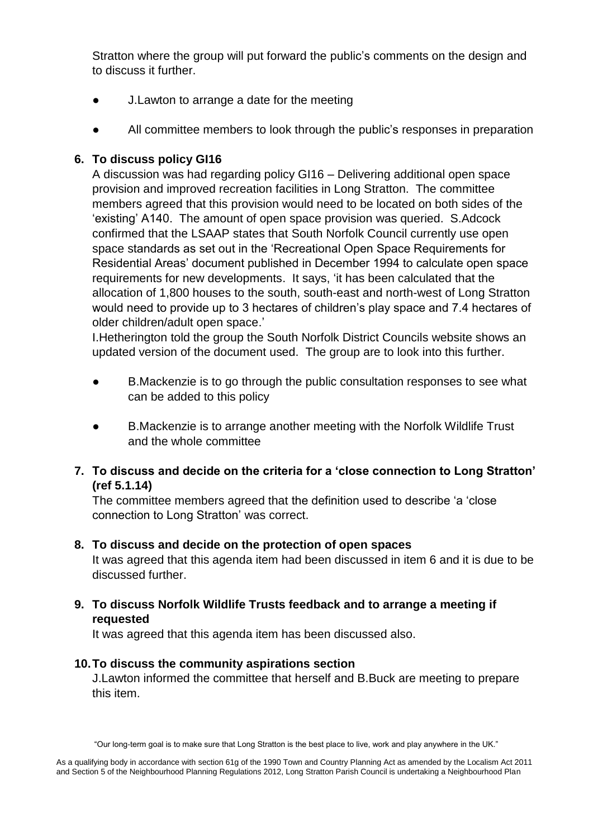Stratton where the group will put forward the public's comments on the design and to discuss it further.

- **●** J.Lawton to arrange a date for the meeting
- All committee members to look through the public's responses in preparation

# **6. To discuss policy GI16**

A discussion was had regarding policy GI16 – Delivering additional open space provision and improved recreation facilities in Long Stratton. The committee members agreed that this provision would need to be located on both sides of the 'existing' A140. The amount of open space provision was queried. S.Adcock confirmed that the LSAAP states that South Norfolk Council currently use open space standards as set out in the 'Recreational Open Space Requirements for Residential Areas' document published in December 1994 to calculate open space requirements for new developments. It says, 'it has been calculated that the allocation of 1,800 houses to the south, south-east and north-west of Long Stratton would need to provide up to 3 hectares of children's play space and 7.4 hectares of older children/adult open space.'

I.Hetherington told the group the South Norfolk District Councils website shows an updated version of the document used. The group are to look into this further.

- B.Mackenzie is to go through the public consultation responses to see what can be added to this policy
- B.Mackenzie is to arrange another meeting with the Norfolk Wildlife Trust and the whole committee
- **7. To discuss and decide on the criteria for a 'close connection to Long Stratton' (ref 5.1.14)**

The committee members agreed that the definition used to describe 'a 'close connection to Long Stratton' was correct.

### **8. To discuss and decide on the protection of open spaces**

It was agreed that this agenda item had been discussed in item 6 and it is due to be discussed further.

**9. To discuss Norfolk Wildlife Trusts feedback and to arrange a meeting if requested**

It was agreed that this agenda item has been discussed also.

### **10.To discuss the community aspirations section**

J.Lawton informed the committee that herself and B.Buck are meeting to prepare this item.

"Our long-term goal is to make sure that Long Stratton is the best place to live, work and play anywhere in the UK."